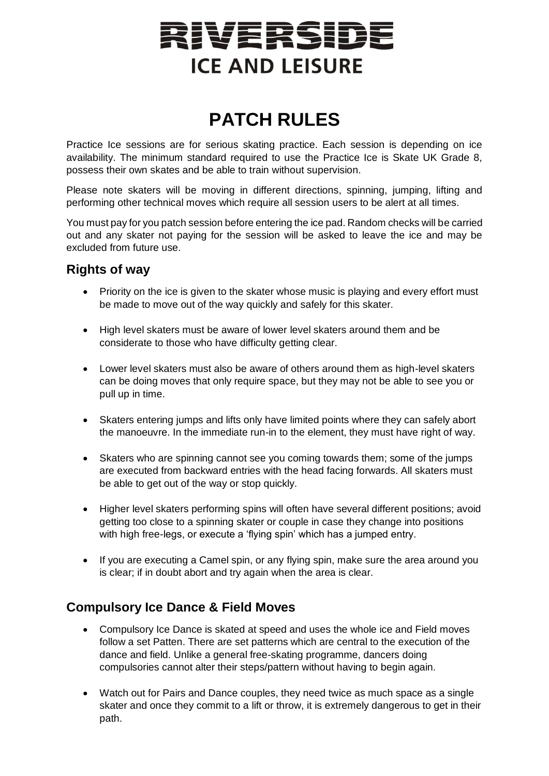# RIVERSIDE **ICE AND LEISURE**

# **PATCH RULES**

Practice Ice sessions are for serious skating practice. Each session is depending on ice availability. The minimum standard required to use the Practice Ice is Skate UK Grade 8, possess their own skates and be able to train without supervision.

Please note skaters will be moving in different directions, spinning, jumping, lifting and performing other technical moves which require all session users to be alert at all times.

You must pay for you patch session before entering the ice pad. Random checks will be carried out and any skater not paying for the session will be asked to leave the ice and may be excluded from future use.

## **Rights of way**

- Priority on the ice is given to the skater whose music is playing and every effort must be made to move out of the way quickly and safely for this skater.
- High level skaters must be aware of lower level skaters around them and be considerate to those who have difficulty getting clear.
- Lower level skaters must also be aware of others around them as high-level skaters can be doing moves that only require space, but they may not be able to see you or pull up in time.
- Skaters entering jumps and lifts only have limited points where they can safely abort the manoeuvre. In the immediate run-in to the element, they must have right of way.
- Skaters who are spinning cannot see you coming towards them; some of the jumps are executed from backward entries with the head facing forwards. All skaters must be able to get out of the way or stop quickly.
- Higher level skaters performing spins will often have several different positions; avoid getting too close to a spinning skater or couple in case they change into positions with high free-legs, or execute a 'flying spin' which has a jumped entry.
- If you are executing a Camel spin, or any flying spin, make sure the area around you is clear; if in doubt abort and try again when the area is clear.

## **Compulsory Ice Dance & Field Moves**

- Compulsory Ice Dance is skated at speed and uses the whole ice and Field moves follow a set Patten. There are set patterns which are central to the execution of the dance and field. Unlike a general free-skating programme, dancers doing compulsories cannot alter their steps/pattern without having to begin again.
- Watch out for Pairs and Dance couples, they need twice as much space as a single skater and once they commit to a lift or throw, it is extremely dangerous to get in their path.